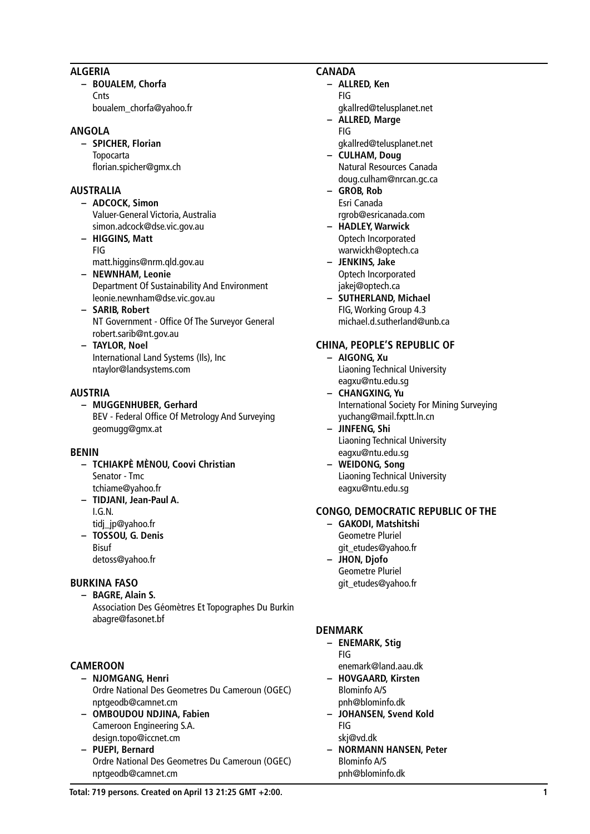## **ALGERIA**

**– BOUALEM, Chorfa Cnts** 

boualem\_chorfa@yahoo.fr

## **ANGOLA**

**– SPICHER, Florian** Topocarta florian.spicher@gmx.ch

## **AUSTRALIA**

- **– ADCOCK, Simon** Valuer-General Victoria, Australia simon.adcock@dse.vic.gov.au
- **– HIGGINS, Matt** FIG matt.higgins@nrm.qld.gov.au
- **– NEWNHAM, Leonie** Department Of Sustainability And Environment leonie.newnham@dse.vic.gov.au
- **– SARIB, Robert** NT Government - Office Of The Surveyor General robert.sarib@nt.gov.au
- **– TAYLOR, Noel** International Land Systems (Ils), Inc ntaylor@landsystems.com

## **AUSTRIA**

**– MUGGENHUBER, Gerhard** BEV - Federal Office Of Metrology And Surveying geomugg@gmx.at

#### **BENIN**

- **– TCHIAKPÈ MÈNOU, Coovi Christian** Senator - Tmc tchiame@yahoo.fr
- **– TIDJANI, Jean-Paul A.** I.G.N.
- tidj\_jp@yahoo.fr
- **– TOSSOU, G. Denis** Bisuf
	- detoss@yahoo.fr

# **BURKINA FASO**

**– BAGRE, Alain S.** Association Des Géomètres Et Topographes Du Burkin abagre@fasonet.bf

# **CAMEROON**

- **– NJOMGANG, Henri** Ordre National Des Geometres Du Cameroun (OGEC) nptgeodb@camnet.cm
- **– OMBOUDOU NDJINA, Fabien** Cameroon Engineering S.A. design.topo@iccnet.cm
- **– PUEPI, Bernard** Ordre National Des Geometres Du Cameroun (OGEC) nptgeodb@camnet.cm

### **CANADA**

- **– ALLRED, Ken** FIG
	- gkallred@telusplanet.net **– ALLRED, Marge**
- FIG gkallred@telusplanet.net
- **– CULHAM, Doug** Natural Resources Canada doug.culham@nrcan.gc.ca
- **– GROB, Rob** Esri Canada rgrob@esricanada.com
- **– HADLEY, Warwick** Optech Incorporated warwickh@optech.ca
- **– JENKINS, Jake** Optech Incorporated jakej@optech.ca
- **– SUTHERLAND, Michael** FIG, Working Group 4.3 michael.d.sutherland@unb.ca

# **CHINA, PEOPLE'S REPUBLIC OF**

- **– AIGONG, Xu** Liaoning Technical University eagxu@ntu.edu.sg
- **– CHANGXING, Yu** International Society For Mining Surveying yuchang@mail.fxptt.ln.cn
- **– JINFENG, Shi** Liaoning Technical University eagxu@ntu.edu.sg
- **– WEIDONG, Song** Liaoning Technical University eagxu@ntu.edu.sg

# **CONGO, DEMOCRATIC REPUBLIC OF THE**

- **– GAKODI, Matshitshi** Geometre Pluriel git\_etudes@yahoo.fr
- **– JHON, Djofo** Geometre Pluriel git\_etudes@yahoo.fr

# **DENMARK**

- **– ENEMARK, Stig** FIG enemark@land.aau.dk
- **– HOVGAARD, Kirsten** Blominfo A/S pnh@blominfo.dk
- **– JOHANSEN, Svend Kold** FIG
	- skj@vd.dk
- **– NORMANN HANSEN, Peter** Blominfo A/S pnh@blominfo.dk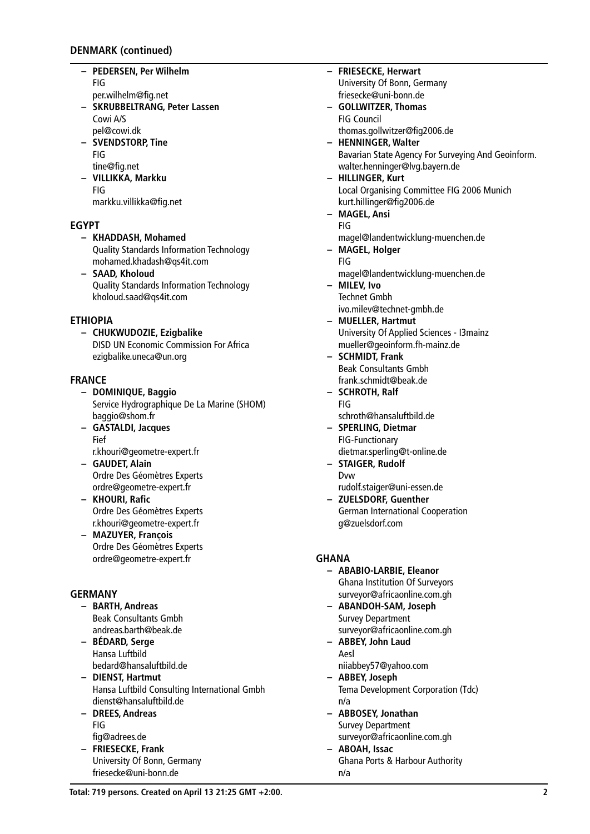## **DENMARK (continued)**

- **– PEDERSEN, Per Wilhelm** FIG
	- per.wilhelm@fig.net
- **– SKRUBBELTRANG, Peter Lassen** Cowi A/S pel@cowi.dk
- **– SVENDSTORP, Tine** FIG tine@fig.net
- **– VILLIKKA, Markku** FIG
	- markku.villikka@fig.net

## **EGYPT**

- **– KHADDASH, Mohamed** Quality Standards Information Technology mohamed.khadash@qs4it.com
- **– SAAD, Kholoud** Quality Standards Information Technology kholoud.saad@qs4it.com

## **ETHIOPIA**

**– CHUKWUDOZIE, Ezigbalike** DISD UN Economic Commission For Africa ezigbalike.uneca@un.org

## **FRANCE**

- **– DOMINIQUE, Baggio** Service Hydrographique De La Marine (SHOM) baggio@shom.fr
- **– GASTALDI, Jacques** Fief
- r.khouri@geometre-expert.fr **– GAUDET, Alain** Ordre Des Géomètres Experts ordre@geometre-expert.fr
- **– KHOURI, Rafic** Ordre Des Géomètres Experts r.khouri@geometre-expert.fr
- **– MAZUYER, François** Ordre Des Géomètres Experts ordre@geometre-expert.fr

# **GERMANY**

- **– BARTH, Andreas** Beak Consultants Gmbh andreas.barth@beak.de
- **– BÉDARD, Serge** Hansa Luftbild bedard@hansaluftbild.de
- **– DIENST, Hartmut** Hansa Luftbild Consulting International Gmbh dienst@hansaluftbild.de
- **– DREES, Andreas** FIG fig@adrees.de
- **– FRIESECKE, Frank** University Of Bonn, Germany friesecke@uni-bonn.de

University Of Bonn, Germany friesecke@uni-bonn.de **– GOLLWITZER, Thomas** FIG Council thomas.gollwitzer@fig2006.de **– HENNINGER, Walter** Bavarian State Agency For Surveying And Geoinform. walter.henninger@lvg.bayern.de **– HILLINGER, Kurt** Local Organising Committee FIG 2006 Munich kurt.hillinger@fig2006.de **– MAGEL, Ansi** FIG magel@landentwicklung-muenchen.de **– MAGEL, Holger** FIG magel@landentwicklung-muenchen.de **– MILEV, Ivo** Technet Gmbh ivo.milev@technet-gmbh.de **– MUELLER, Hartmut** University Of Applied Sciences - I3mainz mueller@geoinform.fh-mainz.de **– SCHMIDT, Frank** Beak Consultants Gmbh frank.schmidt@beak.de **– SCHROTH, Ralf** FIG schroth@hansaluftbild.de **– SPERLING, Dietmar** FIG-Functionary dietmar.sperling@t-online.de **– STAIGER, Rudolf** Dvw rudolf.staiger@uni-essen.de **– ZUELSDORF, Guenther** German International Cooperation g@zuelsdorf.com **GHANA – ABABIO-LARBIE, Eleanor** Ghana Institution Of Surveyors surveyor@africaonline.com.gh **– ABANDOH-SAM, Joseph** Survey Department surveyor@africaonline.com.gh **– ABBEY, John Laud** Aesl niiabbey57@yahoo.com

**– FRIESECKE, Herwart**

- **– ABBEY, Joseph** Tema Development Corporation (Tdc) n/a
- **– ABBOSEY, Jonathan** Survey Department surveyor@africaonline.com.gh
- **– ABOAH, Issac** Ghana Ports & Harbour Authority n/a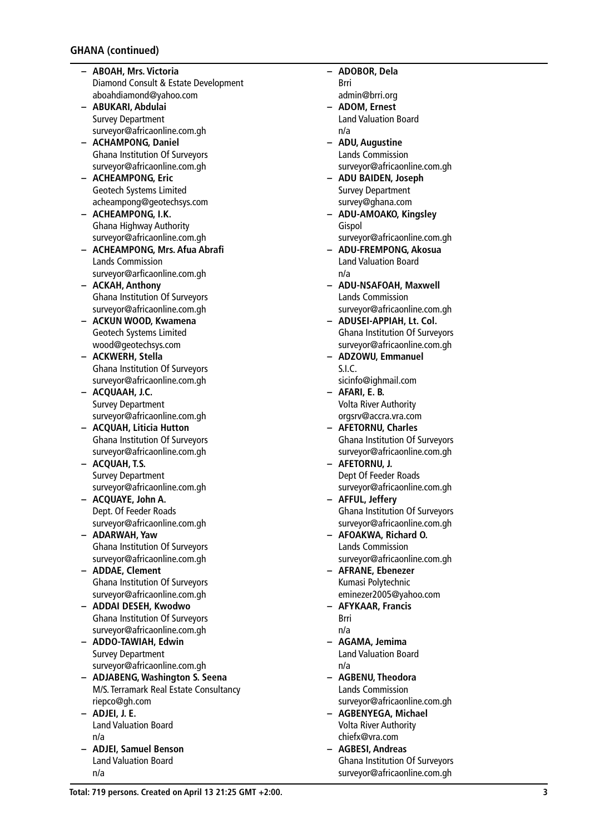- **– ABOAH, Mrs. Victoria** Diamond Consult & Estate Development aboahdiamond@yahoo.com
- **– ABUKARI, Abdulai** Survey Department surveyor@africaonline.com.gh
- **– ACHAMPONG, Daniel** Ghana Institution Of Surveyors surveyor@africaonline.com.gh
- **– ACHEAMPONG, Eric** Geotech Systems Limited acheampong@geotechsys.com
- **– ACHEAMPONG, I.K.** Ghana Highway Authority surveyor@africaonline.com.gh
- **– ACHEAMPONG, Mrs. Afua Abrafi** Lands Commission surveyor@arficaonline.com.gh
- **– ACKAH, Anthony** Ghana Institution Of Surveyors surveyor@africaonline.com.gh
- **– ACKUN WOOD, Kwamena** Geotech Systems Limited wood@geotechsys.com
- **– ACKWERH, Stella** Ghana Institution Of Surveyors surveyor@africaonline.com.gh
- **– ACQUAAH, J.C.** Survey Department surveyor@africaonline.com.gh
- **– ACQUAH, Liticia Hutton** Ghana Institution Of Surveyors surveyor@africaonline.com.gh
- **– ACQUAH, T.S.** Survey Department surveyor@africaonline.com.gh
- **– ACQUAYE, John A.** Dept. Of Feeder Roads surveyor@africaonline.com.gh
- **– ADARWAH, Yaw** Ghana Institution Of Surveyors surveyor@africaonline.com.gh
- **– ADDAE, Clement** Ghana Institution Of Surveyors surveyor@africaonline.com.gh
- **– ADDAI DESEH, Kwodwo** Ghana Institution Of Surveyors surveyor@africaonline.com.gh
- **– ADDO-TAWIAH, Edwin** Survey Department surveyor@africaonline.com.gh
- **– ADJABENG, Washington S. Seena** M/S. Terramark Real Estate Consultancy riepco@gh.com
- **– ADJEI, J. E.** Land Valuation Board n/a
- **– ADJEI, Samuel Benson** Land Valuation Board n/a
- **– ADOBOR, Dela**
	- Brri admin@brri.org
- **– ADOM, Ernest** Land Valuation Board n/a
- **– ADU, Augustine** Lands Commission surveyor@africaonline.com.gh
- **– ADU BAIDEN, Joseph** Survey Department survey@ghana.com
- **– ADU-AMOAKO, Kingsley** Gispol surveyor@africaonline.com.gh
- **– ADU-FREMPONG, Akosua** Land Valuation Board n/a
- **– ADU-NSAFOAH, Maxwell** Lands Commission surveyor@africaonline.com.gh
- **– ADUSEI-APPIAH, Lt. Col.** Ghana Institution Of Surveyors surveyor@africaonline.com.gh
- **– ADZOWU, Emmanuel** S.I.C.
- sicinfo@ighmail.com **– AFARI, E. B.** Volta River Authority
- orgsrv@accra.vra.com **– AFETORNU, Charles** Ghana Institution Of Surveyors surveyor@africaonline.com.gh
- **– AFETORNU, J.** Dept Of Feeder Roads surveyor@africaonline.com.gh
- **– AFFUL, Jeffery** Ghana Institution Of Surveyors surveyor@africaonline.com.gh
- **– AFOAKWA, Richard O.** Lands Commission surveyor@africaonline.com.gh
- **– AFRANE, Ebenezer** Kumasi Polytechnic eminezer2005@yahoo.com
- **– AFYKAAR, Francis** Brri
	- n/a
- **– AGAMA, Jemima** Land Valuation Board n/a
- **– AGBENU, Theodora** Lands Commission surveyor@africaonline.com.gh
- **– AGBENYEGA, Michael** Volta River Authority chiefx@vra.com
- **– AGBESI, Andreas** Ghana Institution Of Surveyors surveyor@africaonline.com.gh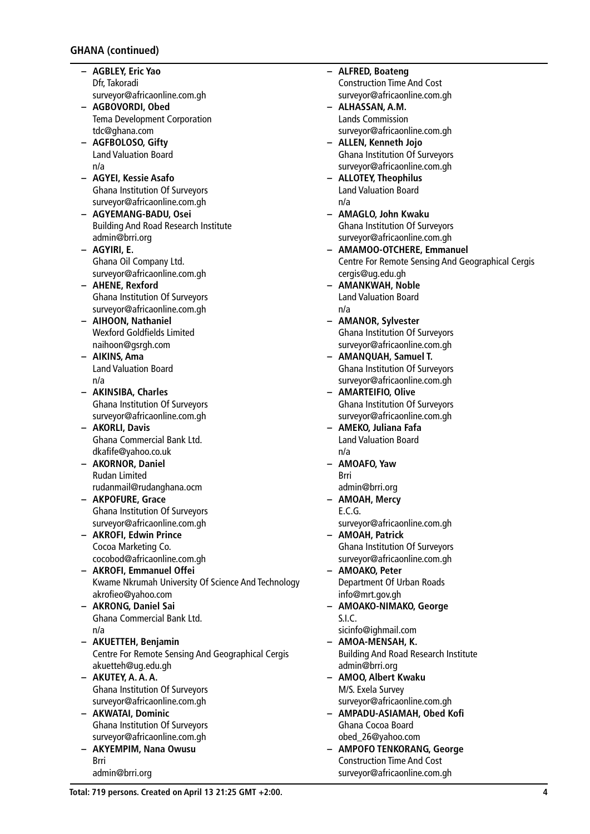- **– AGBLEY, Eric Yao** Dfr, Takoradi surveyor@africaonline.com.gh
- **– AGBOVORDI, Obed** Tema Development Corporation tdc@ghana.com
- **– AGFBOLOSO, Gifty** Land Valuation Board n/a
- **– AGYEI, Kessie Asafo** Ghana Institution Of Surveyors surveyor@africaonline.com.gh
- **– AGYEMANG-BADU, Osei** Building And Road Research Institute admin@brri.org
- **– AGYIRI, E.** Ghana Oil Company Ltd. surveyor@africaonline.com.gh
- **– AHENE, Rexford** Ghana Institution Of Surveyors surveyor@africaonline.com.gh
- **– AIHOON, Nathaniel** Wexford Goldfields Limited naihoon@gsrgh.com
- **– AIKINS, Ama** Land Valuation Board n/a
- **– AKINSIBA, Charles** Ghana Institution Of Surveyors surveyor@africaonline.com.gh
- **– AKORLI, Davis** Ghana Commercial Bank Ltd. dkafife@yahoo.co.uk
- **– AKORNOR, Daniel** Rudan Limited rudanmail@rudanghana.ocm
- **– AKPOFURE, Grace** Ghana Institution Of Surveyors surveyor@africaonline.com.gh
- **– AKROFI, Edwin Prince** Cocoa Marketing Co. cocobod@africaonline.com.gh
- **– AKROFI, Emmanuel Offei** Kwame Nkrumah University Of Science And Technology akrofieo@yahoo.com
- **– AKRONG, Daniel Sai** Ghana Commercial Bank Ltd. n/a
- **– AKUETTEH, Benjamin** Centre For Remote Sensing And Geographical Cergis akuetteh@ug.edu.gh
- **– AKUTEY, A. A. A.** Ghana Institution Of Surveyors surveyor@africaonline.com.gh
- **– AKWATAI, Dominic** Ghana Institution Of Surveyors surveyor@africaonline.com.gh
- **– AKYEMPIM, Nana Owusu** Brri admin@brri.org
- **– ALFRED, Boateng** Construction Time And Cost surveyor@africaonline.com.gh **– ALHASSAN, A.M.** Lands Commission surveyor@africaonline.com.gh **– ALLEN, Kenneth Jojo** Ghana Institution Of Surveyors surveyor@africaonline.com.gh **– ALLOTEY, Theophilus** Land Valuation Board n/a **– AMAGLO, John Kwaku** Ghana Institution Of Surveyors surveyor@africaonline.com.gh **– AMAMOO-OTCHERE, Emmanuel** Centre For Remote Sensing And Geographical Cergis cergis@ug.edu.gh **– AMANKWAH, Noble** Land Valuation Board n/a **– AMANOR, Sylvester** Ghana Institution Of Surveyors surveyor@africaonline.com.gh **– AMANQUAH, Samuel T.** Ghana Institution Of Surveyors surveyor@africaonline.com.gh **– AMARTEIFIO, Olive** Ghana Institution Of Surveyors surveyor@africaonline.com.gh **– AMEKO, Juliana Fafa** Land Valuation Board n/a **– AMOAFO, Yaw** Brri admin@brri.org **– AMOAH, Mercy** E.C.G. surveyor@africaonline.com.gh **– AMOAH, Patrick** Ghana Institution Of Surveyors surveyor@africaonline.com.gh **– AMOAKO, Peter** Department Of Urban Roads info@mrt.gov.gh **– AMOAKO-NIMAKO, George** S.I.C. sicinfo@ighmail.com **– AMOA-MENSAH, K.** Building And Road Research Institute admin@brri.org **– AMOO, Albert Kwaku**
	- M/S. Exela Survey surveyor@africaonline.com.gh **– AMPADU-ASIAMAH, Obed Kofi**
	- Ghana Cocoa Board obed\_26@yahoo.com
	- **– AMPOFO TENKORANG, George** Construction Time And Cost surveyor@africaonline.com.gh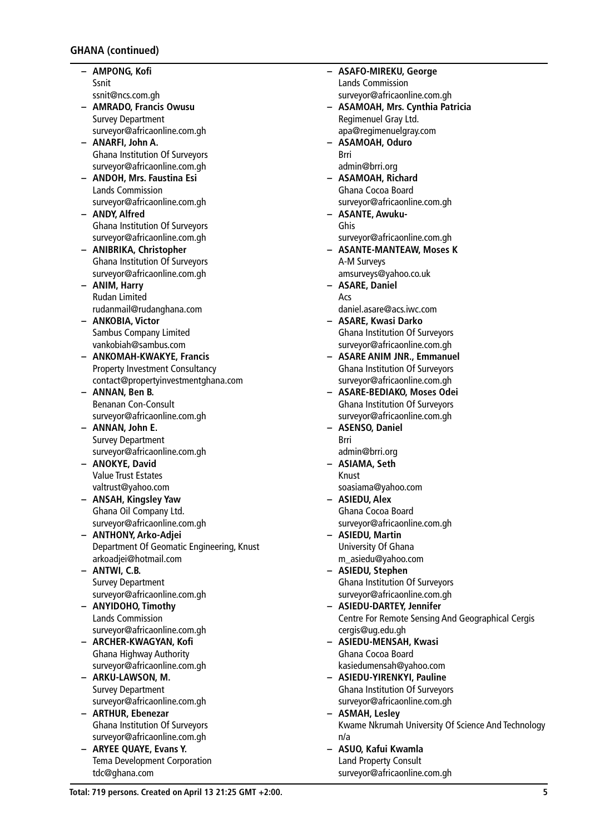- **– AMPONG, Kofi** Ssnit ssnit@ncs.com.gh
- **– AMRADO, Francis Owusu** Survey Department surveyor@africaonline.com.gh
- **– ANARFI, John A.** Ghana Institution Of Surveyors surveyor@africaonline.com.gh
- **– ANDOH, Mrs. Faustina Esi** Lands Commission surveyor@africaonline.com.gh
- **– ANDY, Alfred** Ghana Institution Of Surveyors surveyor@africaonline.com.gh
- **– ANIBRIKA, Christopher** Ghana Institution Of Surveyors surveyor@africaonline.com.gh
- **– ANIM, Harry** Rudan Limited rudanmail@rudanghana.com
- **– ANKOBIA, Victor** Sambus Company Limited vankobiah@sambus.com
- **– ANKOMAH-KWAKYE, Francis** Property Investment Consultancy contact@propertyinvestmentghana.com
- **– ANNAN, Ben B.** Benanan Con-Consult surveyor@africaonline.com.gh
- **– ANNAN, John E.** Survey Department surveyor@africaonline.com.gh
- **– ANOKYE, David** Value Trust Estates valtrust@yahoo.com
- **– ANSAH, Kingsley Yaw** Ghana Oil Company Ltd. surveyor@africaonline.com.gh
- **– ANTHONY, Arko-Adjei** Department Of Geomatic Engineering, Knust arkoadjei@hotmail.com
- **– ANTWI, C.B.** Survey Department surveyor@africaonline.com.gh
- **– ANYIDOHO, Timothy** Lands Commission surveyor@africaonline.com.gh
- **– ARCHER-KWAGYAN, Kofi** Ghana Highway Authority surveyor@africaonline.com.gh
- **– ARKU-LAWSON, M.** Survey Department surveyor@africaonline.com.gh
- **– ARTHUR, Ebenezar** Ghana Institution Of Surveyors surveyor@africaonline.com.gh
- **– ARYEE QUAYE, Evans Y.** Tema Development Corporation tdc@ghana.com

Lands Commission surveyor@africaonline.com.gh **– ASAMOAH, Mrs. Cynthia Patricia** Regimenuel Gray Ltd. apa@regimenuelgray.com **– ASAMOAH, Oduro** Brri admin@brri.org **– ASAMOAH, Richard** Ghana Cocoa Board surveyor@africaonline.com.gh **– ASANTE, Awuku-**Ghis surveyor@africaonline.com.gh **– ASANTE-MANTEAW, Moses K** A-M Surveys amsurveys@yahoo.co.uk **– ASARE, Daniel** Acs daniel.asare@acs.iwc.com **– ASARE, Kwasi Darko** Ghana Institution Of Surveyors surveyor@africaonline.com.gh **– ASARE ANIM JNR., Emmanuel** Ghana Institution Of Surveyors surveyor@africaonline.com.gh **– ASARE-BEDIAKO, Moses Odei** Ghana Institution Of Surveyors surveyor@africaonline.com.gh **– ASENSO, Daniel** Brri admin@brri.org **– ASIAMA, Seth** Knust soasiama@yahoo.com

**– ASAFO-MIREKU, George**

- **– ASIEDU, Alex** Ghana Cocoa Board surveyor@africaonline.com.gh
- **– ASIEDU, Martin** University Of Ghana m\_asiedu@yahoo.com
- **– ASIEDU, Stephen** Ghana Institution Of Surveyors surveyor@africaonline.com.gh
- **– ASIEDU-DARTEY, Jennifer** Centre For Remote Sensing And Geographical Cergis cergis@ug.edu.gh
- **– ASIEDU-MENSAH, Kwasi** Ghana Cocoa Board kasiedumensah@yahoo.com
- **– ASIEDU-YIRENKYI, Pauline** Ghana Institution Of Surveyors surveyor@africaonline.com.gh
- **– ASMAH, Lesley** Kwame Nkrumah University Of Science And Technology n/a
- **– ASUO, Kafui Kwamla** Land Property Consult surveyor@africaonline.com.gh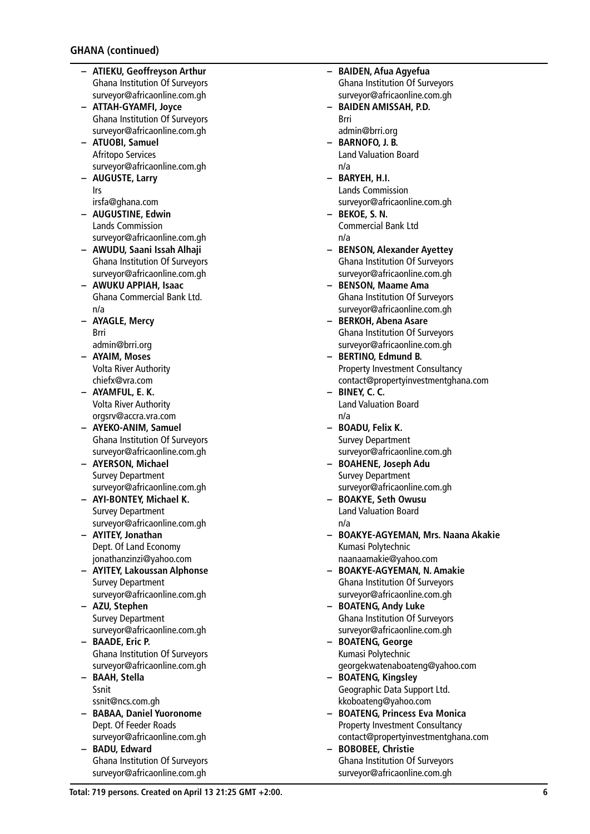- **– ATIEKU, Geoffreyson Arthur** Ghana Institution Of Surveyors surveyor@africaonline.com.gh
- **– ATTAH-GYAMFI, Joyce** Ghana Institution Of Surveyors surveyor@africaonline.com.gh
- **– ATUOBI, Samuel** Afritopo Services surveyor@africaonline.com.gh
- **– AUGUSTE, Larry** Irs
- irsfa@ghana.com **– AUGUSTINE, Edwin**
- Lands Commission surveyor@africaonline.com.gh
- **– AWUDU, Saani Issah Alhaji** Ghana Institution Of Surveyors surveyor@africaonline.com.gh
- **– AWUKU APPIAH, Isaac** Ghana Commercial Bank Ltd. n/a
- **– AYAGLE, Mercy** Brri
	- admin@brri.org
- **– AYAIM, Moses** Volta River Authority chiefx@vra.com
- **– AYAMFUL, E. K.** Volta River Authority orgsrv@accra.vra.com
- **– AYEKO-ANIM, Samuel** Ghana Institution Of Surveyors surveyor@africaonline.com.gh
- **– AYERSON, Michael** Survey Department surveyor@africaonline.com.gh
- **– AYI-BONTEY, Michael K.** Survey Department surveyor@africaonline.com.gh
- **– AYITEY, Jonathan** Dept. Of Land Economy jonathanzinzi@yahoo.com
- **– AYITEY, Lakoussan Alphonse** Survey Department surveyor@africaonline.com.gh
- **– AZU, Stephen** Survey Department surveyor@africaonline.com.gh
- **– BAADE, Eric P.** Ghana Institution Of Surveyors surveyor@africaonline.com.gh
- **– BAAH, Stella** Ssnit ssnit@ncs.com.gh
- **– BABAA, Daniel Yuoronome** Dept. Of Feeder Roads surveyor@africaonline.com.gh
- **– BADU, Edward** Ghana Institution Of Surveyors surveyor@africaonline.com.gh
- **– BAIDEN, Afua Agyefua** Ghana Institution Of Surveyors surveyor@africaonline.com.gh
- **– BAIDEN AMISSAH, P.D.** Brri admin@brri.org
- **– BARNOFO, J. B.** Land Valuation Board n/a
- **– BARYEH, H.I.** Lands Commission surveyor@africaonline.com.gh
- **– BEKOE, S. N.** Commercial Bank Ltd n/a
- **– BENSON, Alexander Ayettey** Ghana Institution Of Surveyors surveyor@africaonline.com.gh
- **– BENSON, Maame Ama** Ghana Institution Of Surveyors surveyor@africaonline.com.gh
- **– BERKOH, Abena Asare** Ghana Institution Of Surveyors surveyor@africaonline.com.gh
- **– BERTINO, Edmund B.** Property Investment Consultancy contact@propertyinvestmentghana.com
- **– BINEY, C. C.** Land Valuation Board n/a
- **– BOADU, Felix K.** Survey Department surveyor@africaonline.com.gh
- **– BOAHENE, Joseph Adu** Survey Department surveyor@africaonline.com.gh
- **– BOAKYE, Seth Owusu** Land Valuation Board n/a
- **– BOAKYE-AGYEMAN, Mrs. Naana Akakie** Kumasi Polytechnic naanaamakie@yahoo.com
- **– BOAKYE-AGYEMAN, N. Amakie** Ghana Institution Of Surveyors surveyor@africaonline.com.gh
- **– BOATENG, Andy Luke** Ghana Institution Of Surveyors surveyor@africaonline.com.gh
- **– BOATENG, George** Kumasi Polytechnic georgekwatenaboateng@yahoo.com
- **– BOATENG, Kingsley** Geographic Data Support Ltd. kkoboateng@yahoo.com
- **– BOATENG, Princess Eva Monica** Property Investment Consultancy contact@propertyinvestmentghana.com
- **– BOBOBEE, Christie** Ghana Institution Of Surveyors surveyor@africaonline.com.gh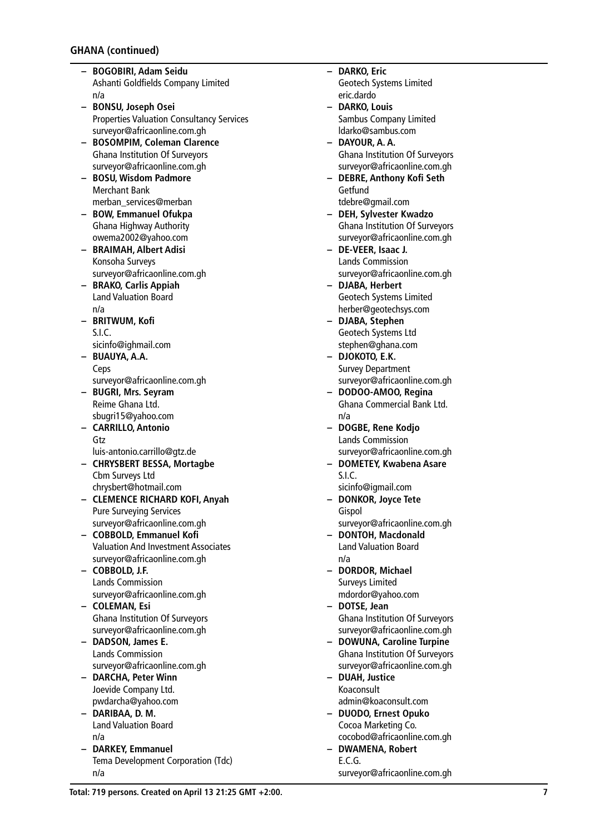- **– BOGOBIRI, Adam Seidu** Ashanti Goldfields Company Limited n/a
- **– BONSU, Joseph Osei** Properties Valuation Consultancy Services surveyor@africaonline.com.gh
- **– BOSOMPIM, Coleman Clarence** Ghana Institution Of Surveyors surveyor@africaonline.com.gh
- **– BOSU, Wisdom Padmore** Merchant Bank merban\_services@merban
- **– BOW, Emmanuel Ofukpa** Ghana Highway Authority owema2002@yahoo.com
- **– BRAIMAH, Albert Adisi** Konsoha Surveys surveyor@africaonline.com.gh
- **– BRAKO, Carlis Appiah** Land Valuation Board n/a
- **– BRITWUM, Kofi** S.I.C.
	- sicinfo@ighmail.com
- **– BUAUYA, A.A.** Ceps surveyor@africaonline.com.gh
- **– BUGRI, Mrs. Seyram** Reime Ghana Ltd. sbugri15@yahoo.com
- **– CARRILLO, Antonio** Gtz
- luis-antonio.carrillo@gtz.de **– CHRYSBERT BESSA, Mortagbe** Cbm Surveys Ltd chrysbert@hotmail.com
- **– CLEMENCE RICHARD KOFI, Anyah** Pure Surveying Services surveyor@africaonline.com.gh
- **– COBBOLD, Emmanuel Kofi** Valuation And Investment Associates surveyor@africaonline.com.gh
- **– COBBOLD, J.F.** Lands Commission surveyor@africaonline.com.gh
- **– COLEMAN, Esi** Ghana Institution Of Surveyors surveyor@africaonline.com.gh
- **– DADSON, James E.** Lands Commission surveyor@africaonline.com.gh
- **– DARCHA, Peter Winn** Joevide Company Ltd. pwdarcha@yahoo.com
- **– DARIBAA, D. M.** Land Valuation Board n/a
- **– DARKEY, Emmanuel** Tema Development Corporation (Tdc) n/a
- **– DARKO, Eric** Geotech Systems Limited eric.dardo
- **– DARKO, Louis** Sambus Company Limited ldarko@sambus.com
- **– DAYOUR, A. A.** Ghana Institution Of Surveyors surveyor@africaonline.com.gh
- **– DEBRE, Anthony Kofi Seth Getfund** tdebre@gmail.com
- **– DEH, Sylvester Kwadzo** Ghana Institution Of Surveyors surveyor@africaonline.com.gh
- **– DE-VEER, Isaac J.** Lands Commission surveyor@africaonline.com.gh
- **– DJABA, Herbert** Geotech Systems Limited herber@geotechsys.com
- **– DJABA, Stephen** Geotech Systems Ltd stephen@ghana.com
- **– DJOKOTO, E.K.** Survey Department surveyor@africaonline.com.gh
- **– DODOO-AMOO, Regina** Ghana Commercial Bank Ltd. n/a
- **– DOGBE, Rene Kodjo** Lands Commission surveyor@africaonline.com.gh
- **– DOMETEY, Kwabena Asare** S.I.C.
- sicinfo@igmail.com **– DONKOR, Joyce Tete**
	- Gispol surveyor@africaonline.com.gh
- **– DONTOH, Macdonald** Land Valuation Board n/a
- **– DORDOR, Michael** Surveys Limited mdordor@yahoo.com
- **– DOTSE, Jean** Ghana Institution Of Surveyors surveyor@africaonline.com.gh
- **– DOWUNA, Caroline Turpine** Ghana Institution Of Surveyors surveyor@africaonline.com.gh
- **– DUAH, Justice** Koaconsult admin@koaconsult.com
- **– DUODO, Ernest Opuko** Cocoa Marketing Co. cocobod@africaonline.com.gh
- **– DWAMENA, Robert** E.C.G. surveyor@africaonline.com.gh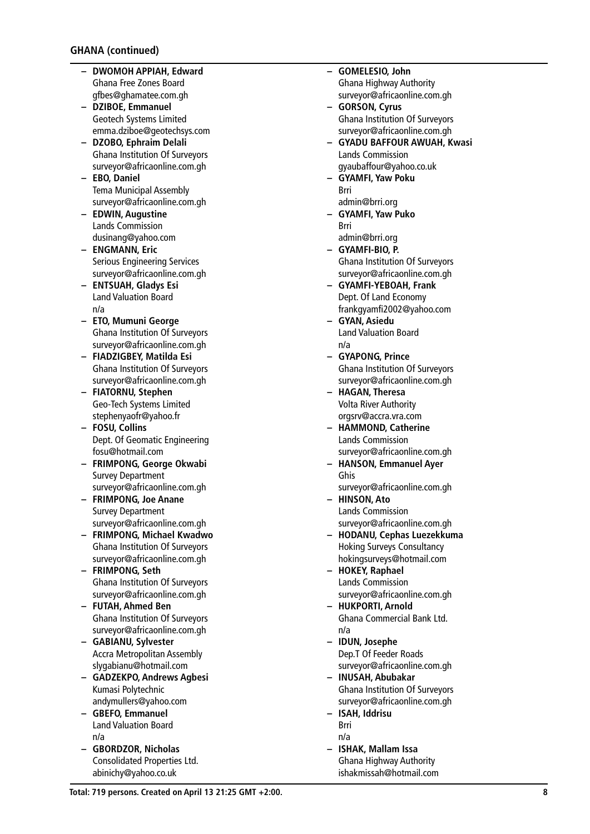- **– DWOMOH APPIAH, Edward** Ghana Free Zones Board gfbes@ghamatee.com.gh
- **– DZIBOE, Emmanuel** Geotech Systems Limited emma.dziboe@geotechsys.com
- **– DZOBO, Ephraim Delali** Ghana Institution Of Surveyors surveyor@africaonline.com.gh
- **– EBO, Daniel** Tema Municipal Assembly surveyor@africaonline.com.gh
- **– EDWIN, Augustine** Lands Commission dusinang@yahoo.com
- **– ENGMANN, Eric** Serious Engineering Services surveyor@africaonline.com.gh
- **– ENTSUAH, Gladys Esi** Land Valuation Board n/a
- **– ETO, Mumuni George** Ghana Institution Of Surveyors surveyor@africaonline.com.gh
- **– FIADZIGBEY, Matilda Esi** Ghana Institution Of Surveyors surveyor@africaonline.com.gh
- **– FIATORNU, Stephen** Geo-Tech Systems Limited stephenyaofr@yahoo.fr
- **– FOSU, Collins** Dept. Of Geomatic Engineering fosu@hotmail.com
- **– FRIMPONG, George Okwabi** Survey Department surveyor@africaonline.com.gh
- **– FRIMPONG, Joe Anane** Survey Department surveyor@africaonline.com.gh
- **– FRIMPONG, Michael Kwadwo** Ghana Institution Of Surveyors surveyor@africaonline.com.gh
- **– FRIMPONG, Seth** Ghana Institution Of Surveyors surveyor@africaonline.com.gh
- **– FUTAH, Ahmed Ben** Ghana Institution Of Surveyors surveyor@africaonline.com.gh
- **– GABIANU, Sylvester** Accra Metropolitan Assembly slygabianu@hotmail.com
- **– GADZEKPO, Andrews Agbesi** Kumasi Polytechnic andymullers@yahoo.com
- **– GBEFO, Emmanuel** Land Valuation Board n/a
- **– GBORDZOR, Nicholas** Consolidated Properties Ltd. abinichy@yahoo.co.uk
- **– GOMELESIO, John** Ghana Highway Authority surveyor@africaonline.com.gh
- **– GORSON, Cyrus** Ghana Institution Of Surveyors surveyor@africaonline.com.gh
- **– GYADU BAFFOUR AWUAH, Kwasi** Lands Commission gyaubaffour@yahoo.co.uk
- **– GYAMFI, Yaw Poku** Brri admin@brri.org
- **– GYAMFI, Yaw Puko** Brri admin@brri.org
- **– GYAMFI-BIO, P.** Ghana Institution Of Surveyors surveyor@africaonline.com.gh
- **– GYAMFI-YEBOAH, Frank** Dept. Of Land Economy frankgyamfi2002@yahoo.com
- **– GYAN, Asiedu** Land Valuation Board n/a
- **– GYAPONG, Prince** Ghana Institution Of Surveyors surveyor@africaonline.com.gh
- **– HAGAN, Theresa** Volta River Authority orgsrv@accra.vra.com
- **– HAMMOND, Catherine** Lands Commission surveyor@africaonline.com.gh
- **– HANSON, Emmanuel Ayer** Ghis
	- surveyor@africaonline.com.gh
- **– HINSON, Ato** Lands Commission surveyor@africaonline.com.gh
- **– HODANU, Cephas Luezekkuma** Hoking Surveys Consultancy hokingsurveys@hotmail.com
- **– HOKEY, Raphael** Lands Commission surveyor@africaonline.com.gh
- **– HUKPORTI, Arnold** Ghana Commercial Bank Ltd. n/a
- **– IDUN, Josephe** Dep.T Of Feeder Roads surveyor@africaonline.com.gh
- **– INUSAH, Abubakar** Ghana Institution Of Surveyors surveyor@africaonline.com.gh
- **– ISAH, Iddrisu** Brri n/a
- **– ISHAK, Mallam Issa** Ghana Highway Authority ishakmissah@hotmail.com

**Total: 719 persons. Created on April 13 21:25 GMT +2:00.**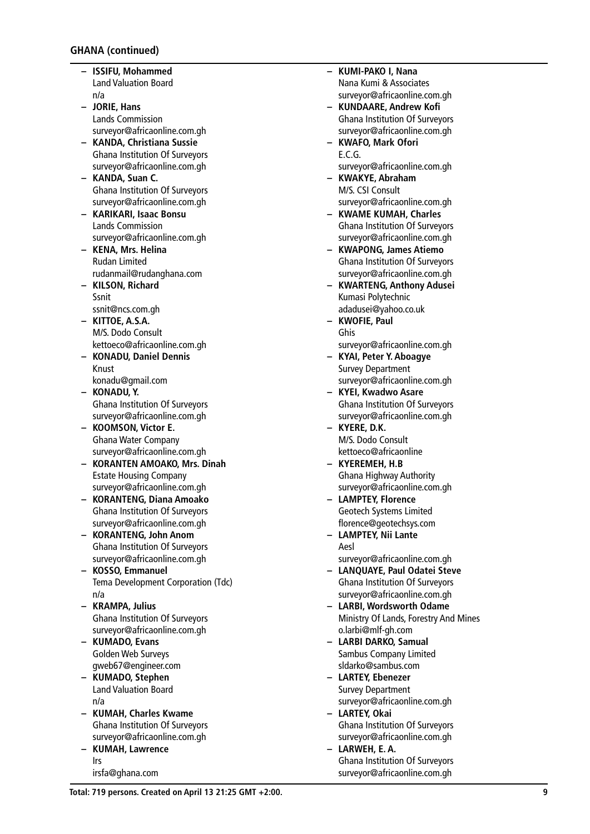- **– ISSIFU, Mohammed** Land Valuation Board n/a
- **– JORIE, Hans** Lands Commission surveyor@africaonline.com.gh
- **– KANDA, Christiana Sussie** Ghana Institution Of Surveyors surveyor@africaonline.com.gh
- **– KANDA, Suan C.** Ghana Institution Of Surveyors surveyor@africaonline.com.gh
- **– KARIKARI, Isaac Bonsu** Lands Commission surveyor@africaonline.com.gh
- **– KENA, Mrs. Helina** Rudan Limited rudanmail@rudanghana.com
- **– KILSON, Richard** Ssnit ssnit@ncs.com.gh
- **– KITTOE, A.S.A.** M/S. Dodo Consult kettoeco@africaonline.com.gh
- **– KONADU, Daniel Dennis** Knust konadu@gmail.com
- **– KONADU, Y.** Ghana Institution Of Surveyors surveyor@africaonline.com.gh
- **– KOOMSON, Victor E.** Ghana Water Company surveyor@africaonline.com.gh
- **– KORANTEN AMOAKO, Mrs. Dinah** Estate Housing Company surveyor@africaonline.com.gh
- **– KORANTENG, Diana Amoako** Ghana Institution Of Surveyors surveyor@africaonline.com.gh
- **– KORANTENG, John Anom** Ghana Institution Of Surveyors surveyor@africaonline.com.gh
- **– KOSSO, Emmanuel** Tema Development Corporation (Tdc) n/a
- **– KRAMPA, Julius** Ghana Institution Of Surveyors surveyor@africaonline.com.gh
- **– KUMADO, Evans** Golden Web Surveys gweb67@engineer.com
- **– KUMADO, Stephen** Land Valuation Board n/a
- **– KUMAH, Charles Kwame** Ghana Institution Of Surveyors surveyor@africaonline.com.gh
- **– KUMAH, Lawrence** Irs irsfa@ghana.com
- **– KUMI-PAKO I, Nana** Nana Kumi & Associates surveyor@africaonline.com.gh
- **– KUNDAARE, Andrew Kofi** Ghana Institution Of Surveyors surveyor@africaonline.com.gh
- **– KWAFO, Mark Ofori** E.C.G. surveyor@africaonline.com.gh
- **– KWAKYE, Abraham** M/S. CSI Consult surveyor@africaonline.com.gh
- **– KWAME KUMAH, Charles** Ghana Institution Of Surveyors surveyor@africaonline.com.gh
- **– KWAPONG, James Atiemo** Ghana Institution Of Surveyors surveyor@africaonline.com.gh
- **– KWARTENG, Anthony Adusei** Kumasi Polytechnic adadusei@yahoo.co.uk
- **– KWOFIE, Paul** Ghis surveyor@africaonline.com.gh
- **– KYAI, Peter Y. Aboagye** Survey Department
- surveyor@africaonline.com.gh **– KYEI, Kwadwo Asare** Ghana Institution Of Surveyors surveyor@africaonline.com.gh
- **– KYERE, D.K.** M/S. Dodo Consult kettoeco@africaonline
- **– KYEREMEH, H.B** Ghana Highway Authority surveyor@africaonline.com.gh
- **– LAMPTEY, Florence** Geotech Systems Limited florence@geotechsys.com
- **– LAMPTEY, Nii Lante** Aesl surveyor@africaonline.com.gh
- **– LANQUAYE, Paul Odatei Steve** Ghana Institution Of Surveyors surveyor@africaonline.com.gh
- **– LARBI, Wordsworth Odame** Ministry Of Lands, Forestry And Mines o.larbi@mlf-gh.com
- **– LARBI DARKO, Samual** Sambus Company Limited sldarko@sambus.com
- **– LARTEY, Ebenezer** Survey Department surveyor@africaonline.com.gh
- **– LARTEY, Okai** Ghana Institution Of Surveyors surveyor@africaonline.com.gh
- **– LARWEH, E. A.** Ghana Institution Of Surveyors surveyor@africaonline.com.gh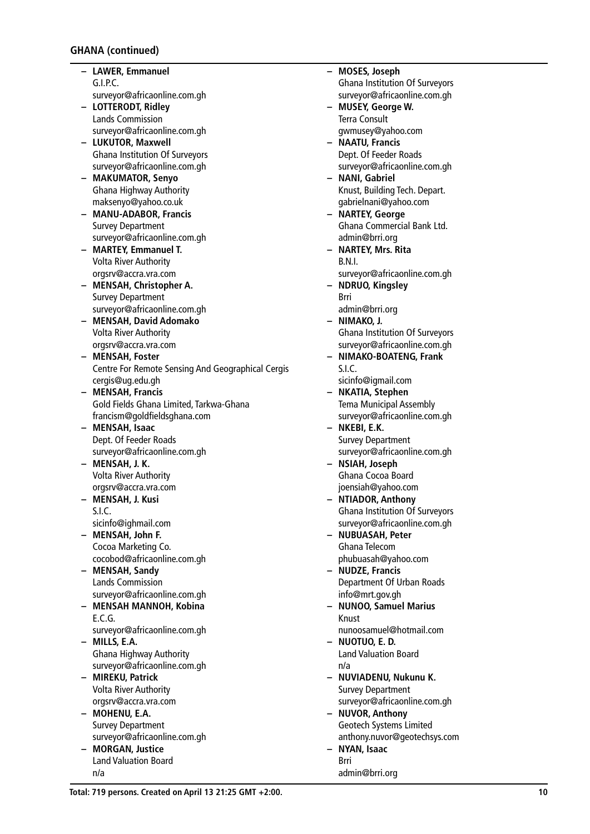- **– LAWER, Emmanuel** G.I.P.C. surveyor@africaonline.com.gh
- **– LOTTERODT, Ridley** Lands Commission surveyor@africaonline.com.gh
- **– LUKUTOR, Maxwell** Ghana Institution Of Surveyors surveyor@africaonline.com.gh
- **– MAKUMATOR, Senyo** Ghana Highway Authority maksenyo@yahoo.co.uk
- **– MANU-ADABOR, Francis** Survey Department surveyor@africaonline.com.gh
- **– MARTEY, Emmanuel T.** Volta River Authority orgsrv@accra.vra.com
- **– MENSAH, Christopher A.** Survey Department surveyor@africaonline.com.gh
- **– MENSAH, David Adomako** Volta River Authority orgsrv@accra.vra.com
- **– MENSAH, Foster** Centre For Remote Sensing And Geographical Cergis cergis@ug.edu.gh
- **– MENSAH, Francis** Gold Fields Ghana Limited, Tarkwa-Ghana francism@goldfieldsghana.com
- **– MENSAH, Isaac** Dept. Of Feeder Roads surveyor@africaonline.com.gh
- **– MENSAH, J. K.** Volta River Authority orgsrv@accra.vra.com
- **– MENSAH, J. Kusi** S.I.C.
- sicinfo@ighmail.com **– MENSAH, John F.**
- Cocoa Marketing Co. cocobod@africaonline.com.gh
- **– MENSAH, Sandy** Lands Commission surveyor@africaonline.com.gh
- **– MENSAH MANNOH, Kobina** E.C.G.
- surveyor@africaonline.com.gh **– MILLS, E.A.** Ghana Highway Authority
- surveyor@africaonline.com.gh **– MIREKU, Patrick**
- Volta River Authority orgsrv@accra.vra.com
- **– MOHENU, E.A.** Survey Department surveyor@africaonline.com.gh
- **– MORGAN, Justice** Land Valuation Board n/a

**– MOSES, Joseph** Ghana Institution Of Surveyors surveyor@africaonline.com.gh **– MUSEY, George W.** Terra Consult gwmusey@yahoo.com **– NAATU, Francis** Dept. Of Feeder Roads surveyor@africaonline.com.gh **– NANI, Gabriel** Knust, Building Tech. Depart. gabrielnani@yahoo.com **– NARTEY, George** Ghana Commercial Bank Ltd. admin@brri.org **– NARTEY, Mrs. Rita** B.N.I. surveyor@africaonline.com.gh **– NDRUO, Kingsley** Brri admin@brri.org **– NIMAKO, J.** Ghana Institution Of Surveyors surveyor@africaonline.com.gh **– NIMAKO-BOATENG, Frank** S.I.C. sicinfo@igmail.com **– NKATIA, Stephen** Tema Municipal Assembly surveyor@africaonline.com.gh **– NKEBI, E.K.** Survey Department surveyor@africaonline.com.gh **– NSIAH, Joseph** Ghana Cocoa Board joensiah@yahoo.com **– NTIADOR, Anthony** Ghana Institution Of Surveyors surveyor@africaonline.com.gh **– NUBUASAH, Peter** Ghana Telecom phubuasah@yahoo.com **– NUDZE, Francis** Department Of Urban Roads info@mrt.gov.gh **– NUNOO, Samuel Marius** Knust nunoosamuel@hotmail.com **– NUOTUO, E. D.** Land Valuation Board n/a **– NUVIADENU, Nukunu K.** Survey Department surveyor@africaonline.com.gh **– NUVOR, Anthony** Geotech Systems Limited anthony.nuvor@geotechsys.com **– NYAN, Isaac** Brri admin@brri.org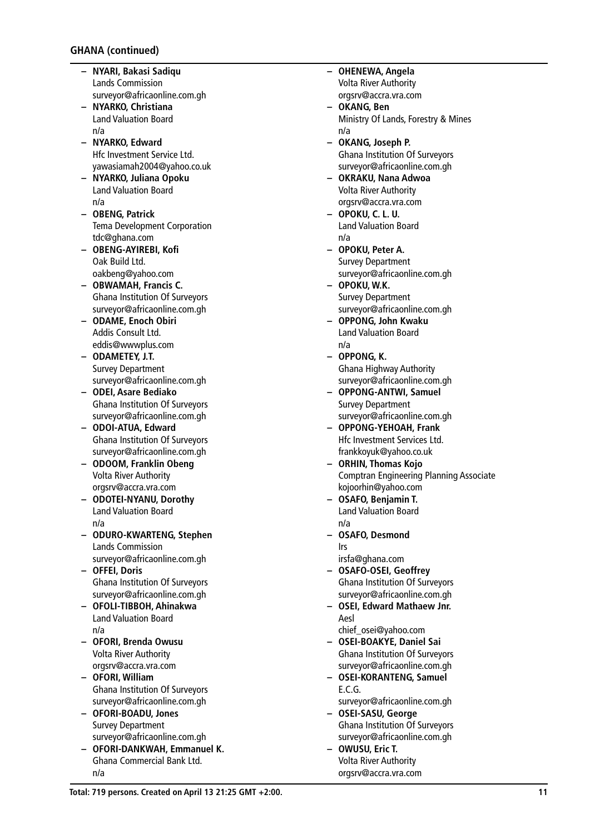- **– NYARI, Bakasi Sadiqu** Lands Commission surveyor@africaonline.com.gh
- **– NYARKO, Christiana** Land Valuation Board n/a
- **– NYARKO, Edward** Hfc Investment Service Ltd. yawasiamah2004@yahoo.co.uk
- **– NYARKO, Juliana Opoku** Land Valuation Board n/a
- **– OBENG, Patrick** Tema Development Corporation tdc@ghana.com
- **– OBENG-AYIREBI, Kofi** Oak Build Ltd. oakbeng@yahoo.com
- **– OBWAMAH, Francis C.** Ghana Institution Of Surveyors surveyor@africaonline.com.gh
- **– ODAME, Enoch Obiri** Addis Consult Ltd. eddis@wwwplus.com
- **– ODAMETEY, J.T.** Survey Department surveyor@africaonline.com.gh
- **– ODEI, Asare Bediako** Ghana Institution Of Surveyors surveyor@africaonline.com.gh
- **– ODOI-ATUA, Edward** Ghana Institution Of Surveyors surveyor@africaonline.com.gh
- **– ODOOM, Franklin Obeng** Volta River Authority orgsrv@accra.vra.com
- **– ODOTEI-NYANU, Dorothy** Land Valuation Board n/a
- **– ODURO-KWARTENG, Stephen** Lands Commission surveyor@africaonline.com.gh
- **– OFFEI, Doris** Ghana Institution Of Surveyors surveyor@africaonline.com.gh
- **– OFOLI-TIBBOH, Ahinakwa** Land Valuation Board n/a
- **– OFORI, Brenda Owusu** Volta River Authority orgsrv@accra.vra.com
- **– OFORI, William** Ghana Institution Of Surveyors surveyor@africaonline.com.gh
- **– OFORI-BOADU, Jones** Survey Department surveyor@africaonline.com.gh
- **– OFORI-DANKWAH, Emmanuel K.** Ghana Commercial Bank Ltd. n/a
- **– OHENEWA, Angela** Volta River Authority orgsrv@accra.vra.com
- **– OKANG, Ben** Ministry Of Lands, Forestry & Mines n/a
- **– OKANG, Joseph P.** Ghana Institution Of Surveyors surveyor@africaonline.com.gh
- **– OKRAKU, Nana Adwoa** Volta River Authority orgsrv@accra.vra.com
- **– OPOKU, C. L. U.** Land Valuation Board n/a
- **– OPOKU, Peter A.** Survey Department surveyor@africaonline.com.gh
- **– OPOKU, W.K.** Survey Department surveyor@africaonline.com.gh
- **– OPPONG, John Kwaku** Land Valuation Board n/a
- **– OPPONG, K.** Ghana Highway Authority surveyor@africaonline.com.gh
- **– OPPONG-ANTWI, Samuel** Survey Department surveyor@africaonline.com.gh
- **– OPPONG-YEHOAH, Frank** Hfc Investment Services Ltd. frankkoyuk@yahoo.co.uk
- **– ORHIN, Thomas Kojo** Comptran Engineering Planning Associate kojoorhin@yahoo.com
- **– OSAFO, Benjamin T.** Land Valuation Board n/a
- **– OSAFO, Desmond** Irs
- irsfa@ghana.com
- **– OSAFO-OSEI, Geoffrey** Ghana Institution Of Surveyors surveyor@africaonline.com.gh
- **– OSEI, Edward Mathaew Jnr.** Aesl
	- chief\_osei@yahoo.com
- **– OSEI-BOAKYE, Daniel Sai** Ghana Institution Of Surveyors surveyor@africaonline.com.gh
- **– OSEI-KORANTENG, Samuel** E.C.G.
- surveyor@africaonline.com.gh **– OSEI-SASU, George**
- Ghana Institution Of Surveyors surveyor@africaonline.com.gh **– OWUSU, Eric T.**
- Volta River Authority orgsrv@accra.vra.com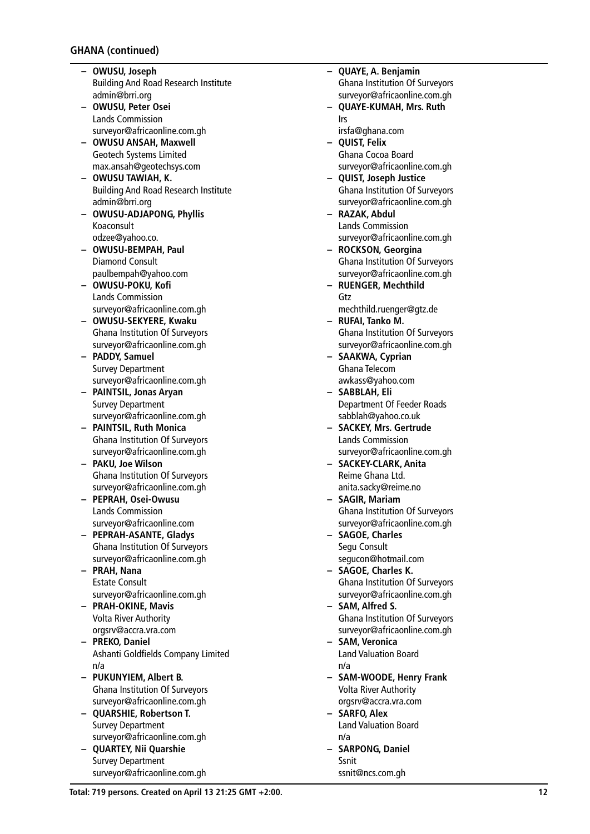- **– OWUSU, Joseph** Building And Road Research Institute admin@brri.org
- **– OWUSU, Peter Osei** Lands Commission surveyor@africaonline.com.gh
- **– OWUSU ANSAH, Maxwell** Geotech Systems Limited max.ansah@geotechsys.com
- **– OWUSU TAWIAH, K.** Building And Road Research Institute admin@brri.org
- **– OWUSU-ADJAPONG, Phyllis** Koaconsult odzee@yahoo.co.
- **– OWUSU-BEMPAH, Paul** Diamond Consult paulbempah@yahoo.com
- **– OWUSU-POKU, Kofi** Lands Commission surveyor@africaonline.com.gh
- **– OWUSU-SEKYERE, Kwaku** Ghana Institution Of Surveyors surveyor@africaonline.com.gh
- **– PADDY, Samuel** Survey Department surveyor@africaonline.com.gh
- **– PAINTSIL, Jonas Aryan** Survey Department surveyor@africaonline.com.gh
- **– PAINTSIL, Ruth Monica** Ghana Institution Of Surveyors surveyor@africaonline.com.gh
- **– PAKU, Joe Wilson** Ghana Institution Of Surveyors surveyor@africaonline.com.gh
- **– PEPRAH, Osei-Owusu** Lands Commission surveyor@africaonline.com
- **– PEPRAH-ASANTE, Gladys** Ghana Institution Of Surveyors surveyor@africaonline.com.gh
- **– PRAH, Nana** Estate Consult surveyor@africaonline.com.gh
- **– PRAH-OKINE, Mavis** Volta River Authority orgsrv@accra.vra.com
- **– PREKO, Daniel** Ashanti Goldfields Company Limited n/a
- **– PUKUNYIEM, Albert B.** Ghana Institution Of Surveyors surveyor@africaonline.com.gh
- **– QUARSHIE, Robertson T.** Survey Department surveyor@africaonline.com.gh
- **– QUARTEY, Nii Quarshie** Survey Department surveyor@africaonline.com.gh

**– QUAYE, A. Benjamin** Ghana Institution Of Surveyors surveyor@africaonline.com.gh **– QUAYE-KUMAH, Mrs. Ruth** Irs irsfa@ghana.com **– QUIST, Felix** Ghana Cocoa Board surveyor@africaonline.com.gh **– QUIST, Joseph Justice** Ghana Institution Of Surveyors surveyor@africaonline.com.gh **– RAZAK, Abdul** Lands Commission surveyor@africaonline.com.gh **– ROCKSON, Georgina** Ghana Institution Of Surveyors surveyor@africaonline.com.gh **– RUENGER, Mechthild** Gtz mechthild.ruenger@gtz.de **– RUFAI, Tanko M.** Ghana Institution Of Surveyors surveyor@africaonline.com.gh **– SAAKWA, Cyprian** Ghana Telecom awkass@yahoo.com **– SABBLAH, Eli** Department Of Feeder Roads sabblah@yahoo.co.uk **– SACKEY, Mrs. Gertrude** Lands Commission surveyor@africaonline.com.gh **– SACKEY-CLARK, Anita** Reime Ghana Ltd. anita.sacky@reime.no **– SAGIR, Mariam** Ghana Institution Of Surveyors surveyor@africaonline.com.gh **– SAGOE, Charles** Segu Consult segucon@hotmail.com **– SAGOE, Charles K.** Ghana Institution Of Surveyors surveyor@africaonline.com.gh **– SAM, Alfred S.** Ghana Institution Of Surveyors surveyor@africaonline.com.gh **– SAM, Veronica** Land Valuation Board n/a **– SAM-WOODE, Henry Frank** Volta River Authority orgsrv@accra.vra.com **– SARFO, Alex** Land Valuation Board n/a **– SARPONG, Daniel** Ssnit ssnit@ncs.com.gh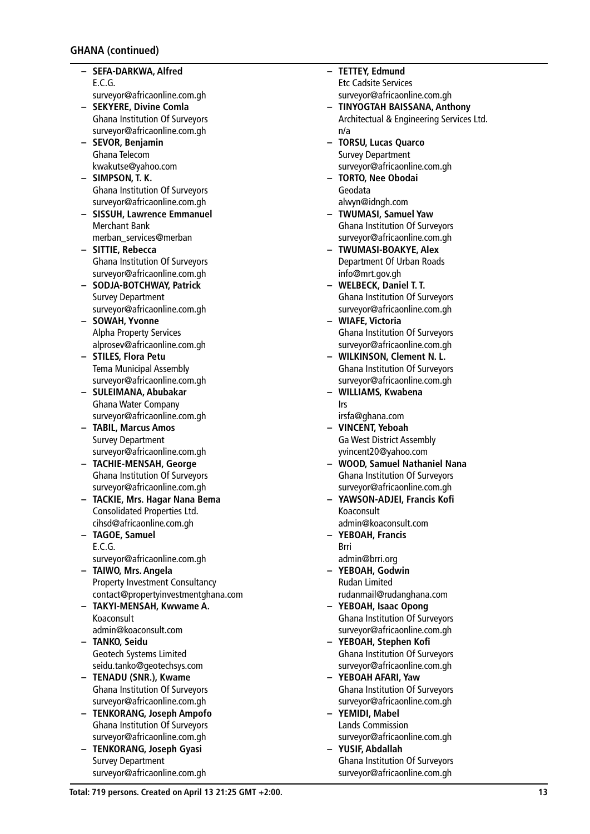- **– SEFA-DARKWA, Alfred** E.C.G. surveyor@africaonline.com.gh
- **– SEKYERE, Divine Comla** Ghana Institution Of Surveyors surveyor@africaonline.com.gh
- **– SEVOR, Benjamin** Ghana Telecom kwakutse@yahoo.com
- **– SIMPSON, T. K.** Ghana Institution Of Surveyors surveyor@africaonline.com.gh
- **– SISSUH, Lawrence Emmanuel** Merchant Bank merban\_services@merban
- **– SITTIE, Rebecca** Ghana Institution Of Surveyors surveyor@africaonline.com.gh
- **– SODJA-BOTCHWAY, Patrick** Survey Department surveyor@africaonline.com.gh
- **– SOWAH, Yvonne** Alpha Property Services alprosev@africaonline.com.gh
- **– STILES, Flora Petu** Tema Municipal Assembly surveyor@africaonline.com.gh
- **– SULEIMANA, Abubakar** Ghana Water Company surveyor@africaonline.com.gh
- **– TABIL, Marcus Amos** Survey Department surveyor@africaonline.com.gh
- **– TACHIE-MENSAH, George** Ghana Institution Of Surveyors surveyor@africaonline.com.gh
- **– TACKIE, Mrs. Hagar Nana Bema** Consolidated Properties Ltd. cihsd@africaonline.com.gh
- **– TAGOE, Samuel** E.C.G. surveyor@africaonline.com.gh
- **– TAIWO, Mrs. Angela** Property Investment Consultancy contact@propertyinvestmentghana.com
- **– TAKYI-MENSAH, Kwwame A.** Koaconsult admin@koaconsult.com
- **– TANKO, Seidu** Geotech Systems Limited seidu.tanko@geotechsys.com
- **– TENADU (SNR.), Kwame** Ghana Institution Of Surveyors surveyor@africaonline.com.gh
- **– TENKORANG, Joseph Ampofo** Ghana Institution Of Surveyors surveyor@africaonline.com.gh
- **– TENKORANG, Joseph Gyasi** Survey Department surveyor@africaonline.com.gh
- **– TETTEY, Edmund** Etc Cadsite Services surveyor@africaonline.com.gh
- **– TINYOGTAH BAISSANA, Anthony** Architectual & Engineering Services Ltd. n/a
- **– TORSU, Lucas Quarco** Survey Department surveyor@africaonline.com.gh
- **– TORTO, Nee Obodai** Geodata alwyn@idngh.com
- **– TWUMASI, Samuel Yaw** Ghana Institution Of Surveyors surveyor@africaonline.com.gh
- **– TWUMASI-BOAKYE, Alex** Department Of Urban Roads info@mrt.gov.gh
- **– WELBECK, Daniel T. T.** Ghana Institution Of Surveyors surveyor@africaonline.com.gh
- **– WIAFE, Victoria** Ghana Institution Of Surveyors surveyor@africaonline.com.gh
- **– WILKINSON, Clement N. L.** Ghana Institution Of Surveyors surveyor@africaonline.com.gh
- **– WILLIAMS, Kwabena** Irs
- irsfa@ghana.com **– VINCENT, Yeboah**
- Ga West District Assembly yvincent20@yahoo.com
- **– WOOD, Samuel Nathaniel Nana** Ghana Institution Of Surveyors surveyor@africaonline.com.gh
- **– YAWSON-ADJEI, Francis Kofi** Koaconsult
- admin@koaconsult.com **– YEBOAH, Francis**
- Brri admin@brri.org
- **– YEBOAH, Godwin** Rudan Limited rudanmail@rudanghana.com
- **– YEBOAH, Isaac Opong** Ghana Institution Of Surveyors surveyor@africaonline.com.gh
- **– YEBOAH, Stephen Kofi** Ghana Institution Of Surveyors surveyor@africaonline.com.gh
- **– YEBOAH AFARI, Yaw** Ghana Institution Of Surveyors surveyor@africaonline.com.gh
- **– YEMIDI, Mabel** Lands Commission surveyor@africaonline.com.gh
- **– YUSIF, Abdallah** Ghana Institution Of Surveyors surveyor@africaonline.com.gh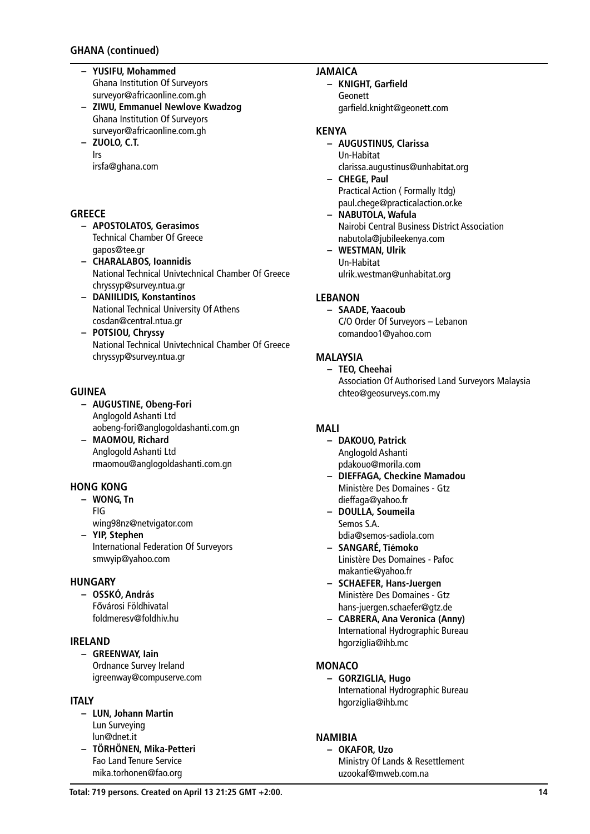- **– YUSIFU, Mohammed** Ghana Institution Of Surveyors surveyor@africaonline.com.gh
- **– ZIWU, Emmanuel Newlove Kwadzog** Ghana Institution Of Surveyors surveyor@africaonline.com.gh
- **– ZUOLO, C.T.** Irs irsfa@ghana.com

## **GREECE**

- **– APOSTOLATOS, Gerasimos** Technical Chamber Of Greece gapos@tee.gr
- **– CHARALABOS, Ioannidis** National Technical Univtechnical Chamber Of Greece chryssyp@survey.ntua.gr
- **– DANIILIDIS, Konstantinos** National Technical University Of Athens cosdan@central.ntua.gr
- **– POTSIOU, Chryssy** National Technical Univtechnical Chamber Of Greece chryssyp@survey.ntua.gr

## **GUINEA**

- **– AUGUSTINE, Obeng-Fori** Anglogold Ashanti Ltd aobeng-fori@anglogoldashanti.com.gn
- **– MAOMOU, Richard** Anglogold Ashanti Ltd rmaomou@anglogoldashanti.com.gn

#### **HONG KONG**

- **– WONG, Tn** FIG
	- wing98nz@netvigator.com
- **– YIP, Stephen** International Federation Of Surveyors smwyip@yahoo.com

#### **HUNGARY**

**– OSSKÓ, András** Fővárosi Földhivatal foldmeresv@foldhiv.hu

## **IRELAND**

**– GREENWAY, Iain** Ordnance Survey Ireland igreenway@compuserve.com

#### **ITALY**

- **– LUN, Johann Martin** Lun Surveying lun@dnet.it
- **– TÖRHÖNEN, Mika-Petteri** Fao Land Tenure Service mika.torhonen@fao.org

# **JAMAICA**

**– KNIGHT, Garfield** Geonett garfield.knight@geonett.com

#### **KENYA**

- **– AUGUSTINUS, Clarissa** Un-Habitat clarissa.augustinus@unhabitat.org
- **– CHEGE, Paul** Practical Action ( Formally Itdg) paul.chege@practicalaction.or.ke
- **– NABUTOLA, Wafula** Nairobi Central Business District Association nabutola@jubileekenya.com
- **– WESTMAN, Ulrik** Un-Habitat ulrik.westman@unhabitat.org

# **LEBANON**

**– SAADE, Yaacoub** C/O Order Of Surveyors – Lebanon comandoo1@yahoo.com

## **MALAYSIA**

**– TEO, Cheehai** Association Of Authorised Land Surveyors Malaysia chteo@geosurveys.com.my

#### **MALI**

- **– DAKOUO, Patrick** Anglogold Ashanti pdakouo@morila.com
- **– DIEFFAGA, Checkine Mamadou** Ministère Des Domaines - Gtz dieffaga@yahoo.fr
- **– DOULLA, Soumeila** Semos S.A. bdia@semos-sadiola.com
- **– SANGARÉ, Tiémoko** Linistère Des Domaines - Pafoc makantie@yahoo.fr
- **– SCHAEFER, Hans-Juergen** Ministère Des Domaines - Gtz hans-juergen.schaefer@gtz.de
- **– CABRERA, Ana Veronica (Anny)** International Hydrographic Bureau hgorziglia@ihb.mc

#### **MONACO**

**– GORZIGLIA, Hugo** International Hydrographic Bureau hgorziglia@ihb.mc

## **NAMIBIA**

**– OKAFOR, Uzo** Ministry Of Lands & Resettlement uzookaf@mweb.com.na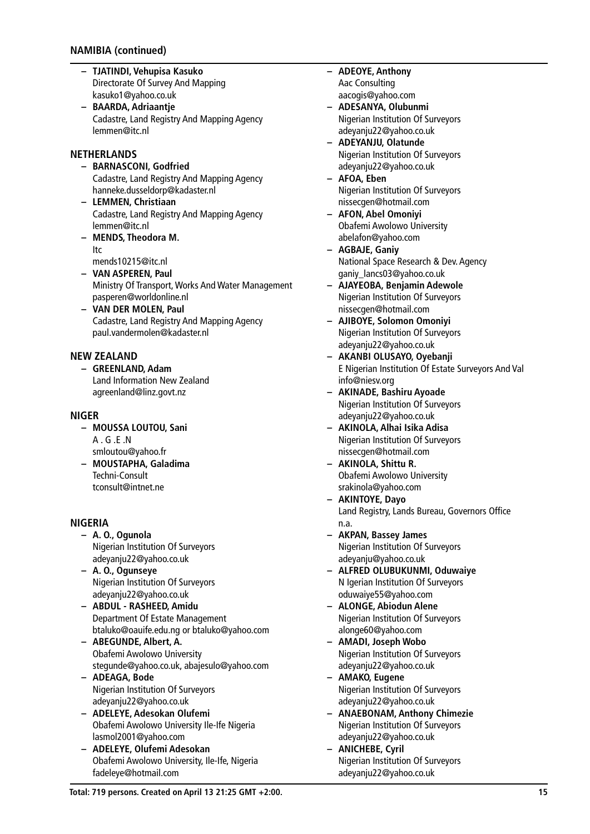## **NAMIBIA (continued)**

- **– TJATINDI, Vehupisa Kasuko** Directorate Of Survey And Mapping kasuko1@yahoo.co.uk
- **– BAARDA, Adriaantje** Cadastre, Land Registry And Mapping Agency lemmen@itc.nl

#### **NETHERLANDS**

- **– BARNASCONI, Godfried** Cadastre, Land Registry And Mapping Agency hanneke.dusseldorp@kadaster.nl
- **– LEMMEN, Christiaan** Cadastre, Land Registry And Mapping Agency lemmen@itc.nl
- **– MENDS, Theodora M.** Itc
- mends10215@itc.nl
- **– VAN ASPEREN, Paul** Ministry Of Transport, Works And Water Management pasperen@worldonline.nl
- **– VAN DER MOLEN, Paul** Cadastre, Land Registry And Mapping Agency paul.vandermolen@kadaster.nl

### **NEW ZEALAND**

**– GREENLAND, Adam** Land Information New Zealand agreenland@linz.govt.nz

#### **NIGER**

- **– MOUSSA LOUTOU, Sani** A . G .E .N smloutou@yahoo.fr
- **– MOUSTAPHA, Galadima** Techni-Consult tconsult@intnet.ne

#### **NIGERIA**

- **– A. O., Ogunola** Nigerian Institution Of Surveyors adeyanju22@yahoo.co.uk
- **– A. O., Ogunseye** Nigerian Institution Of Surveyors adeyanju22@yahoo.co.uk
- **– ABDUL RASHEED, Amidu** Department Of Estate Management btaluko@oauife.edu.ng or btaluko@yahoo.com
- **– ABEGUNDE, Albert, A.** Obafemi Awolowo University stegunde@yahoo.co.uk, abajesulo@yahoo.com
- **– ADEAGA, Bode** Nigerian Institution Of Surveyors adeyanju22@yahoo.co.uk
- **– ADELEYE, Adesokan Olufemi** Obafemi Awolowo University Ile-Ife Nigeria lasmol2001@yahoo.com
- **– ADELEYE, Olufemi Adesokan** Obafemi Awolowo University, Ile-Ife, Nigeria fadeleye@hotmail.com
- **– ADEOYE, Anthony** Aac Consulting aacogis@yahoo.com
- **– ADESANYA, Olubunmi** Nigerian Institution Of Surveyors adeyanju22@yahoo.co.uk
- **– ADEYANJU, Olatunde** Nigerian Institution Of Surveyors adeyanju22@yahoo.co.uk
- **– AFOA, Eben** Nigerian Institution Of Surveyors nissecgen@hotmail.com
- **– AFON, Abel Omoniyi** Obafemi Awolowo University abelafon@yahoo.com
- **– AGBAJE, Ganiy** National Space Research & Dev. Agency ganiy\_lancs03@yahoo.co.uk
- **– AJAYEOBA, Benjamin Adewole** Nigerian Institution Of Surveyors nissecgen@hotmail.com
- **– AJIBOYE, Solomon Omoniyi** Nigerian Institution Of Surveyors adeyanju22@yahoo.co.uk
- **– AKANBI OLUSAYO, Oyebanji** E Nigerian Institution Of Estate Surveyors And Val info@niesv.org
- **– AKINADE, Bashiru Ayoade** Nigerian Institution Of Surveyors adeyanju22@yahoo.co.uk
- **– AKINOLA, Alhai Isika Adisa** Nigerian Institution Of Surveyors nissecgen@hotmail.com
- **– AKINOLA, Shittu R.** Obafemi Awolowo University srakinola@yahoo.com
- **– AKINTOYE, Dayo** Land Registry, Lands Bureau, Governors Office n.a.
- **– AKPAN, Bassey James** Nigerian Institution Of Surveyors adeyanju@yahoo.co.uk
- **– ALFRED OLUBUKUNMI, Oduwaiye** N Igerian Institution Of Surveyors oduwaiye55@yahoo.com
- **– ALONGE, Abiodun Alene** Nigerian Institution Of Surveyors alonge60@yahoo.com
- **– AMADI, Joseph Wobo** Nigerian Institution Of Surveyors adeyanju22@yahoo.co.uk
- **– AMAKO, Eugene** Nigerian Institution Of Surveyors adeyanju22@yahoo.co.uk
- **– ANAEBONAM, Anthony Chimezie** Nigerian Institution Of Surveyors adeyanju22@yahoo.co.uk
- **– ANICHEBE, Cyril** Nigerian Institution Of Surveyors adeyanju22@yahoo.co.uk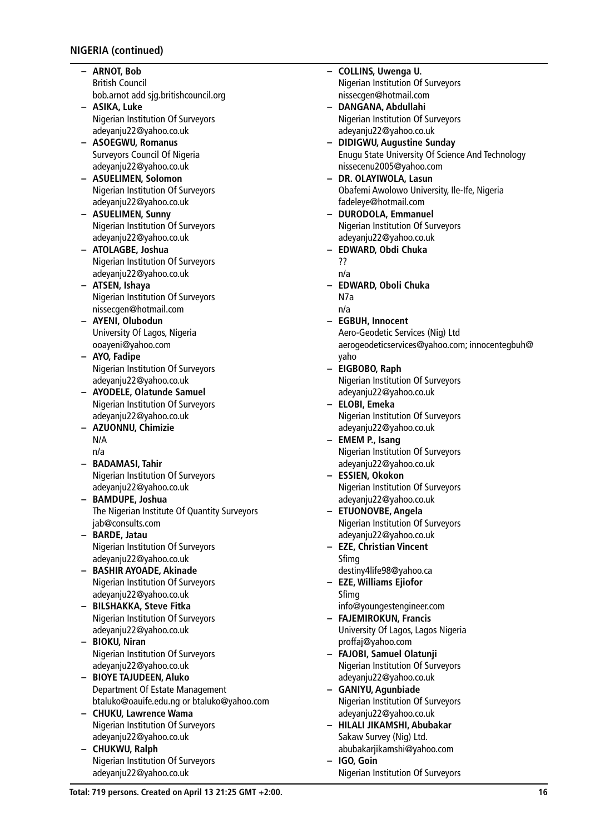# **NIGERIA (continued)**

- **– ARNOT, Bob** British Council bob.arnot add sjg.britishcouncil.org
- **– ASIKA, Luke** Nigerian Institution Of Surveyors adeyanju22@yahoo.co.uk
- **– ASOEGWU, Romanus** Surveyors Council Of Nigeria adeyanju22@yahoo.co.uk
- **– ASUELIMEN, Solomon** Nigerian Institution Of Surveyors adeyanju22@yahoo.co.uk
- **– ASUELIMEN, Sunny** Nigerian Institution Of Surveyors adeyanju22@yahoo.co.uk
- **– ATOLAGBE, Joshua** Nigerian Institution Of Surveyors adeyanju22@yahoo.co.uk
- **– ATSEN, Ishaya** Nigerian Institution Of Surveyors nissecgen@hotmail.com
- **– AYENI, Olubodun** University Of Lagos, Nigeria ooayeni@yahoo.com
- **– AYO, Fadipe** Nigerian Institution Of Surveyors adeyanju22@yahoo.co.uk
- **– AYODELE, Olatunde Samuel** Nigerian Institution Of Surveyors adeyanju22@yahoo.co.uk
- **– AZUONNU, Chimizie** N/A n/a
- **– BADAMASI, Tahir** Nigerian Institution Of Surveyors adeyanju22@yahoo.co.uk
- **– BAMDUPE, Joshua** The Nigerian Institute Of Quantity Surveyors jab@consults.com
- **– BARDE, Jatau** Nigerian Institution Of Surveyors adeyanju22@yahoo.co.uk
- **– BASHIR AYOADE, Akinade** Nigerian Institution Of Surveyors adeyanju22@yahoo.co.uk
- **– BILSHAKKA, Steve Fitka** Nigerian Institution Of Surveyors adeyanju22@yahoo.co.uk
- **– BIOKU, Niran** Nigerian Institution Of Surveyors adeyanju22@yahoo.co.uk
- **– BIOYE TAJUDEEN, Aluko** Department Of Estate Management btaluko@oauife.edu.ng or btaluko@yahoo.com
- **– CHUKU, Lawrence Wama** Nigerian Institution Of Surveyors adeyanju22@yahoo.co.uk
- **– CHUKWU, Ralph** Nigerian Institution Of Surveyors adeyanju22@yahoo.co.uk
- **– COLLINS, Uwenga U.** Nigerian Institution Of Surveyors nissecgen@hotmail.com **– DANGANA, Abdullahi** Nigerian Institution Of Surveyors adeyanju22@yahoo.co.uk **– DIDIGWU, Augustine Sunday** Enugu State University Of Science And Technology nissecenu2005@yahoo.com **– DR. OLAYIWOLA, Lasun** Obafemi Awolowo University, Ile-Ife, Nigeria fadeleye@hotmail.com **– DURODOLA, Emmanuel** Nigerian Institution Of Surveyors adeyanju22@yahoo.co.uk **– EDWARD, Obdi Chuka** ?? n/a **– EDWARD, Oboli Chuka** N7a n/a **– EGBUH, Innocent** Aero-Geodetic Services (Nig) Ltd aerogeodeticservices@yahoo.com; innocentegbuh@ yaho **– EIGBOBO, Raph** Nigerian Institution Of Surveyors adeyanju22@yahoo.co.uk **– ELOBI, Emeka** Nigerian Institution Of Surveyors adeyanju22@yahoo.co.uk **– EMEM P., Isang** Nigerian Institution Of Surveyors adeyanju22@yahoo.co.uk **– ESSIEN, Okokon** Nigerian Institution Of Surveyors adeyanju22@yahoo.co.uk **– ETUONOVBE, Angela** Nigerian Institution Of Surveyors adeyanju22@yahoo.co.uk **– EZE, Christian Vincent** Sfimg destiny4life98@yahoo.ca **– EZE, Williams Ejiofor** Sfimg info@youngestengineer.com **– FAJEMIROKUN, Francis** University Of Lagos, Lagos Nigeria proffaj@yahoo.com **– FAJOBI, Samuel Olatunji** Nigerian Institution Of Surveyors adeyanju22@yahoo.co.uk **– GANIYU, Agunbiade** Nigerian Institution Of Surveyors adeyanju22@yahoo.co.uk **– HILALI JIKAMSHI, Abubakar** Sakaw Survey (Nig) Ltd.
	- abubakarjikamshi@yahoo.com **– IGO, Goin**
	- Nigerian Institution Of Surveyors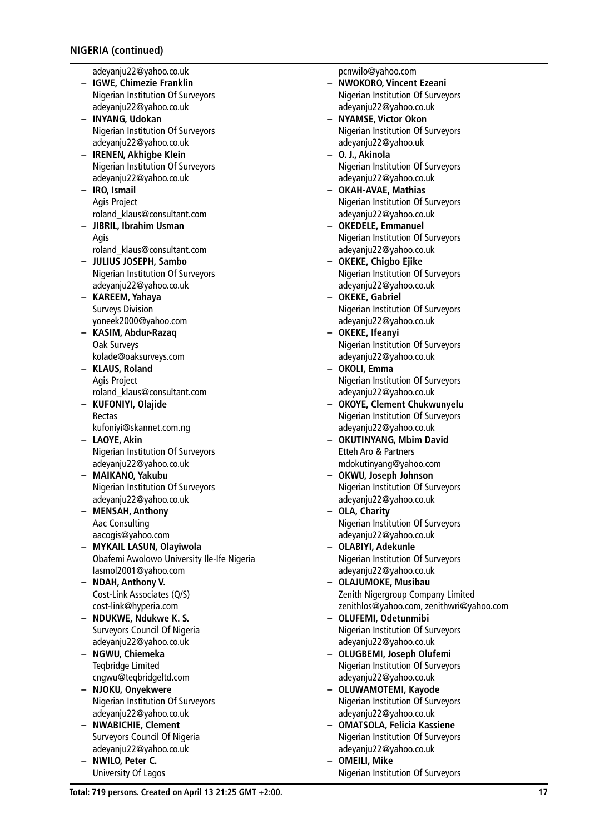adeyanju22@yahoo.co.uk

- **– IGWE, Chimezie Franklin** Nigerian Institution Of Surveyors adeyanju22@yahoo.co.uk
- **– INYANG, Udokan** Nigerian Institution Of Surveyors adeyanju22@yahoo.co.uk
- **– IRENEN, Akhigbe Klein** Nigerian Institution Of Surveyors adeyanju22@yahoo.co.uk
- **– IRO, Ismail** Agis Project roland\_klaus@consultant.com
- **– JIBRIL, Ibrahim Usman** Agis roland\_klaus@consultant.com
- **– JULIUS JOSEPH, Sambo** Nigerian Institution Of Surveyors adeyanju22@yahoo.co.uk
- **– KAREEM, Yahaya** Surveys Division yoneek2000@yahoo.com
- **– KASIM, Abdur-Razaq** Oak Surveys kolade@oaksurveys.com
- **– KLAUS, Roland** Agis Project roland\_klaus@consultant.com
- **– KUFONIYI, Olajide** Rectas kufoniyi@skannet.com.ng
- **– LAOYE, Akin** Nigerian Institution Of Surveyors adeyanju22@yahoo.co.uk
- **– MAIKANO, Yakubu** Nigerian Institution Of Surveyors adeyanju22@yahoo.co.uk
- **– MENSAH, Anthony** Aac Consulting aacogis@yahoo.com
- **– MYKAIL LASUN, Olayiwola** Obafemi Awolowo University Ile-Ife Nigeria lasmol2001@yahoo.com
- **– NDAH, Anthony V.** Cost-Link Associates (Q/S) cost-link@hyperia.com
- **– NDUKWE, Ndukwe K. S.** Surveyors Council Of Nigeria adeyanju22@yahoo.co.uk
- **– NGWU, Chiemeka** Teqbridge Limited cngwu@teqbridgeltd.com
- **– NJOKU, Onyekwere** Nigerian Institution Of Surveyors adeyanju22@yahoo.co.uk
- **– NWABICHIE, Clement** Surveyors Council Of Nigeria adeyanju22@yahoo.co.uk
- **– NWILO, Peter C.** University Of Lagos

pcnwilo@yahoo.com

- **– NWOKORO, Vincent Ezeani** Nigerian Institution Of Surveyors adeyanju22@yahoo.co.uk
- **– NYAMSE, Victor Okon** Nigerian Institution Of Surveyors adeyanju22@yahoo.uk
- **– O. J., Akinola** Nigerian Institution Of Surveyors adeyanju22@yahoo.co.uk
- **– OKAH-AVAE, Mathias** Nigerian Institution Of Surveyors adeyanju22@yahoo.co.uk
- **– OKEDELE, Emmanuel** Nigerian Institution Of Surveyors adeyanju22@yahoo.co.uk
- **– OKEKE, Chigbo Ejike** Nigerian Institution Of Surveyors adeyanju22@yahoo.co.uk
- **– OKEKE, Gabriel** Nigerian Institution Of Surveyors adeyanju22@yahoo.co.uk
- **– OKEKE, Ifeanyi** Nigerian Institution Of Surveyors adeyanju22@yahoo.co.uk
- **– OKOLI, Emma** Nigerian Institution Of Surveyors adeyanju22@yahoo.co.uk
- **– OKOYE, Clement Chukwunyelu** Nigerian Institution Of Surveyors adeyanju22@yahoo.co.uk
- **– OKUTINYANG, Mbim David** Etteh Aro & Partners mdokutinyang@yahoo.com
- **– OKWU, Joseph Johnson** Nigerian Institution Of Surveyors adeyanju22@yahoo.co.uk
- **– OLA, Charity** Nigerian Institution Of Surveyors adeyanju22@yahoo.co.uk
- **– OLABIYI, Adekunle** Nigerian Institution Of Surveyors adeyanju22@yahoo.co.uk
- **– OLAJUMOKE, Musibau** Zenith Nigergroup Company Limited zenithlos@yahoo.com, zenithwri@yahoo.com
- **– OLUFEMI, Odetunmibi** Nigerian Institution Of Surveyors adeyanju22@yahoo.co.uk
- **– OLUGBEMI, Joseph Olufemi** Nigerian Institution Of Surveyors adeyanju22@yahoo.co.uk
- **– OLUWAMOTEMI, Kayode** Nigerian Institution Of Surveyors adeyanju22@yahoo.co.uk
- **– OMATSOLA, Felicia Kassiene** Nigerian Institution Of Surveyors adeyanju22@yahoo.co.uk
- **– OMEILI, Mike** Nigerian Institution Of Surveyors

**Total: 719 persons. Created on April 13 21:25 GMT +2:00. 17**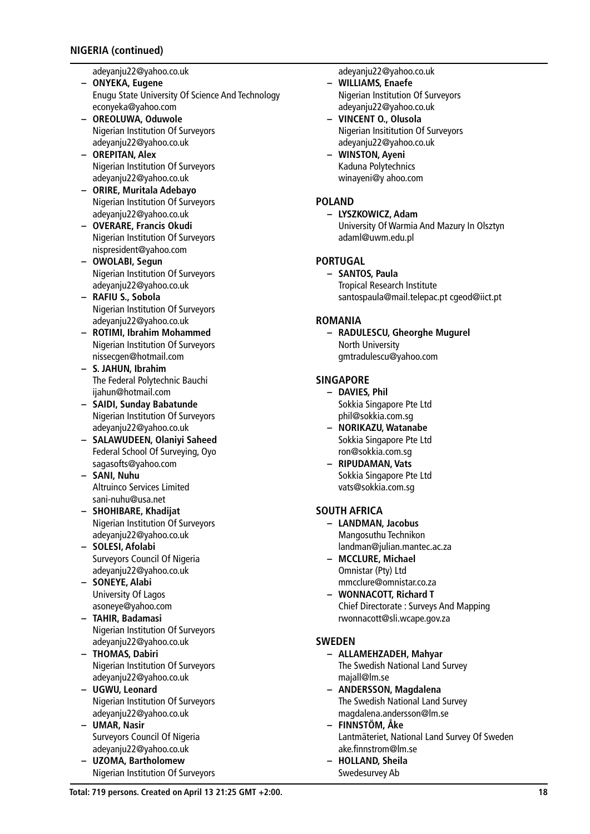## **NIGERIA (continued)**

adeyanju22@yahoo.co.uk

- **– ONYEKA, Eugene** Enugu State University Of Science And Technology econyeka@yahoo.com
- **– OREOLUWA, Oduwole** Nigerian Institution Of Surveyors adeyanju22@yahoo.co.uk
- **– OREPITAN, Alex** Nigerian Institution Of Surveyors adeyanju22@yahoo.co.uk
- **– ORIRE, Muritala Adebayo** Nigerian Institution Of Surveyors adeyanju22@yahoo.co.uk
- **– OVERARE, Francis Okudi** Nigerian Institution Of Surveyors nispresident@yahoo.com
- **– OWOLABI, Segun** Nigerian Institution Of Surveyors adeyanju22@yahoo.co.uk
- **– RAFIU S., Sobola** Nigerian Institution Of Surveyors adeyanju22@yahoo.co.uk
- **– ROTIMI, Ibrahim Mohammed** Nigerian Institution Of Surveyors nissecgen@hotmail.com
- **– S. JAHUN, Ibrahim** The Federal Polytechnic Bauchi ijahun@hotmail.com
- **– SAIDI, Sunday Babatunde** Nigerian Institution Of Surveyors adeyanju22@yahoo.co.uk
- **– SALAWUDEEN, Olaniyi Saheed** Federal School Of Surveying, Oyo sagasofts@yahoo.com
- **– SANI, Nuhu** Altruinco Services Limited sani-nuhu@usa.net
- **– SHOHIBARE, Khadijat** Nigerian Institution Of Surveyors adeyanju22@yahoo.co.uk
- **– SOLESI, Afolabi** Surveyors Council Of Nigeria adeyanju22@yahoo.co.uk
- **– SONEYE, Alabi** University Of Lagos asoneye@yahoo.com
- **– TAHIR, Badamasi** Nigerian Institution Of Surveyors adeyanju22@yahoo.co.uk
- **– THOMAS, Dabiri** Nigerian Institution Of Surveyors adeyanju22@yahoo.co.uk
- **– UGWU, Leonard** Nigerian Institution Of Surveyors adeyanju22@yahoo.co.uk
- **– UMAR, Nasir** Surveyors Council Of Nigeria adeyanju22@yahoo.co.uk
- **– UZOMA, Bartholomew** Nigerian Institution Of Surveyors

adeyanju22@yahoo.co.uk

- **– WILLIAMS, Enaefe** Nigerian Institution Of Surveyors adeyanju22@yahoo.co.uk
- **– VINCENT O., Olusola** Nigerian Insititution Of Surveyors adeyanju22@yahoo.co.uk
- **– WINSTON, Ayeni** Kaduna Polytechnics winayeni@y ahoo.com

### **POLAND**

**– LYSZKOWICZ, Adam** University Of Warmia And Mazury In Olsztyn adaml@uwm.edu.pl

## **PORTUGAL**

**– SANTOS, Paula** Tropical Research Institute santospaula@mail.telepac.pt cgeod@iict.pt

## **ROMANIA**

**– RADULESCU, Gheorghe Mugurel** North University gmtradulescu@yahoo.com

## **SINGAPORE**

- **– DAVIES, Phil** Sokkia Singapore Pte Ltd phil@sokkia.com.sg
- **– NORIKAZU, Watanabe** Sokkia Singapore Pte Ltd ron@sokkia.com.sg
- **– RIPUDAMAN, Vats** Sokkia Singapore Pte Ltd vats@sokkia.com.sg

# **SOUTH AFRICA**

- **– LANDMAN, Jacobus** Mangosuthu Technikon landman@julian.mantec.ac.za
- **– MCCLURE, Michael** Omnistar (Pty) Ltd mmcclure@omnistar.co.za
- **– WONNACOTT, Richard T** Chief Directorate : Surveys And Mapping rwonnacott@sli.wcape.gov.za

# **SWEDEN**

- **– ALLAMEHZADEH, Mahyar**
- The Swedish National Land Survey majall@lm.se
- **– ANDERSSON, Magdalena** The Swedish National Land Survey magdalena.andersson@lm.se
- **– FINNSTÖM, Åke** Lantmäteriet, National Land Survey Of Sweden ake.finnstrom@lm.se
- **– HOLLAND, Sheila**
	- Swedesurvey Ab